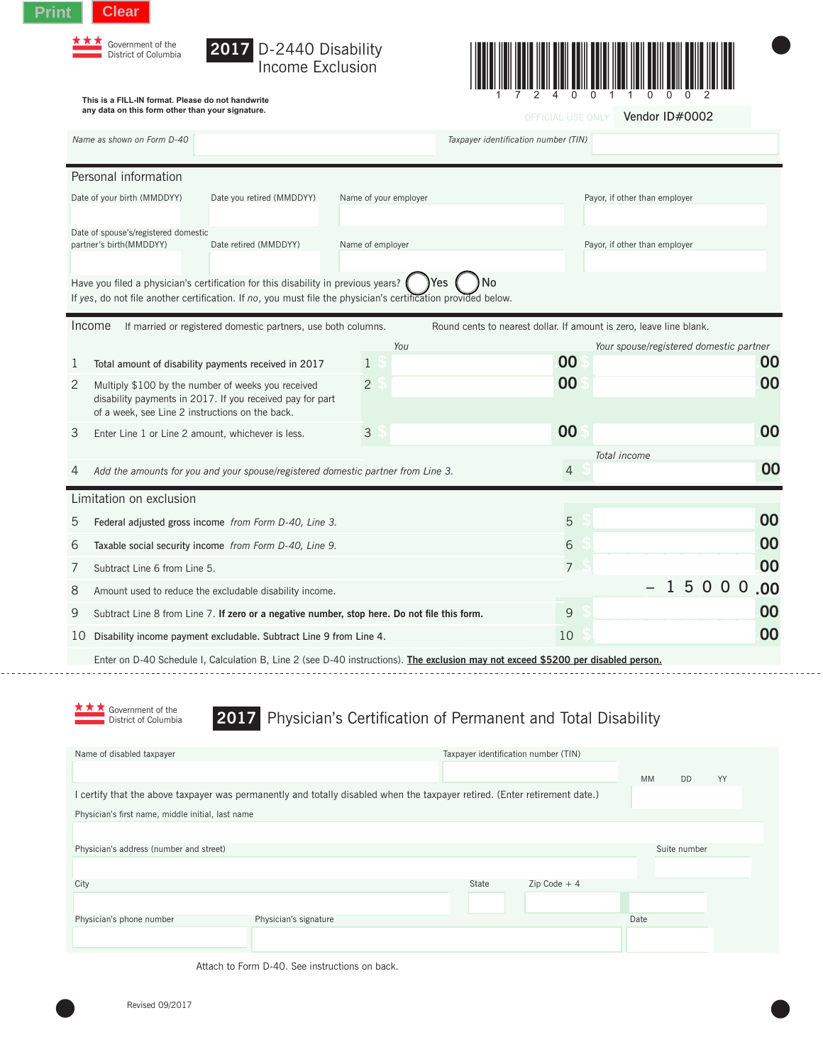





 $\bullet$ 

**This is a FILL-IN format. Please do not handwrite any data on this form other than your signature.**

| any data on this form other than your signature.                                                             |                                                                                                                                                                                                                 |                       | Vendor ID#0002<br><b>OFFICIAL USE ONLY</b>                          |  |                                         |       |     |    |  |  |  |  |  |  |
|--------------------------------------------------------------------------------------------------------------|-----------------------------------------------------------------------------------------------------------------------------------------------------------------------------------------------------------------|-----------------------|---------------------------------------------------------------------|--|-----------------------------------------|-------|-----|----|--|--|--|--|--|--|
| Name as shown on Form D-40                                                                                   |                                                                                                                                                                                                                 |                       | Taxpayer identification number (TIN)                                |  |                                         |       |     |    |  |  |  |  |  |  |
|                                                                                                              | Personal information                                                                                                                                                                                            |                       |                                                                     |  |                                         |       |     |    |  |  |  |  |  |  |
|                                                                                                              | Date of your birth (MMDDYY)<br>Date you retired (MMDDYY)                                                                                                                                                        | Name of your employer |                                                                     |  | Payor, if other than employer           |       |     |    |  |  |  |  |  |  |
| Date of spouse's/registered domestic<br>partner's birth(MMDDYY)<br>Date retired (MMDDYY)<br>Name of employer |                                                                                                                                                                                                                 |                       | Payor, if other than employer                                       |  |                                         |       |     |    |  |  |  |  |  |  |
|                                                                                                              | No<br>Have you filed a physician's certification for this disability in previous years?<br>Yes<br>If yes, do not file another certification. If no, you must file the physician's certification provided below. |                       |                                                                     |  |                                         |       |     |    |  |  |  |  |  |  |
|                                                                                                              | Income<br>If married or registered domestic partners, use both columns.                                                                                                                                         |                       | Round cents to nearest dollar. If amount is zero, leave line blank. |  |                                         |       |     |    |  |  |  |  |  |  |
|                                                                                                              |                                                                                                                                                                                                                 | You                   |                                                                     |  | Your spouse/registered domestic partner |       |     |    |  |  |  |  |  |  |
| 1                                                                                                            | Total amount of disability payments received in 2017                                                                                                                                                            | $\mathbf{1}$          | 00                                                                  |  |                                         |       |     | 00 |  |  |  |  |  |  |
| 2                                                                                                            | Multiply \$100 by the number of weeks you received<br>disability payments in 2017. If you received pay for part<br>of a week, see Line 2 instructions on the back.                                              | $\overline{2}$        | 00                                                                  |  |                                         |       |     | 00 |  |  |  |  |  |  |
| 3                                                                                                            | Enter Line 1 or Line 2 amount, whichever is less.                                                                                                                                                               | $\mathcal{S}$         | 00                                                                  |  |                                         |       |     | 00 |  |  |  |  |  |  |
| 4                                                                                                            | Add the amounts for you and your spouse/registered domestic partner from Line 3.                                                                                                                                |                       |                                                                     |  | Total income                            |       |     | 00 |  |  |  |  |  |  |
|                                                                                                              | Limitation on exclusion                                                                                                                                                                                         |                       |                                                                     |  |                                         |       |     |    |  |  |  |  |  |  |
| 5<br>Federal adjusted gross income from Form D-40, Line 3.                                                   |                                                                                                                                                                                                                 |                       |                                                                     |  |                                         |       |     | 00 |  |  |  |  |  |  |
| 6                                                                                                            | Taxable social security income from Form D-40, Line 9.                                                                                                                                                          |                       |                                                                     |  |                                         |       |     | 00 |  |  |  |  |  |  |
| 7                                                                                                            | Subtract Line 6 from Line 5.                                                                                                                                                                                    |                       |                                                                     |  |                                         |       |     | 00 |  |  |  |  |  |  |
| 8                                                                                                            | Amount used to reduce the excludable disability income.                                                                                                                                                         |                       |                                                                     |  |                                         | 15000 | .00 |    |  |  |  |  |  |  |
| 9                                                                                                            | Subtract Line 8 from Line 7. If zero or a negative number, stop here. Do not file this form.                                                                                                                    |                       |                                                                     |  |                                         |       |     | 00 |  |  |  |  |  |  |
| Disability income payment excludable. Subtract Line 9 from Line 4.<br>10                                     |                                                                                                                                                                                                                 |                       |                                                                     |  |                                         |       |     | 00 |  |  |  |  |  |  |
|                                                                                                              | Enter on D-40 Schedule I, Calculation B, Line 2 (see D-40 instructions). The exclusion may not exceed \$5200 per disabled person.                                                                               |                       |                                                                     |  |                                         |       |     |    |  |  |  |  |  |  |
|                                                                                                              | Government of the<br>District of Columbia                                                                                                                                                                       |                       | 2017 Physician's Certification of Permanent and Total Disability    |  |                                         |       |     |    |  |  |  |  |  |  |
|                                                                                                              |                                                                                                                                                                                                                 |                       |                                                                     |  |                                         |       |     |    |  |  |  |  |  |  |
|                                                                                                              | Name of disabled taxpayer                                                                                                                                                                                       |                       | Taxpayer identification number (TIN)                                |  |                                         |       |     |    |  |  |  |  |  |  |

| Physician's address (number and street) |                       |       |                |      | Suite number |
|-----------------------------------------|-----------------------|-------|----------------|------|--------------|
|                                         |                       |       |                |      |              |
| City                                    |                       | State | $Zip Code + 4$ |      |              |
|                                         |                       |       |                |      |              |
| Physician's phone number                | Physician's signature |       |                | Date |              |
|                                         |                       |       |                |      |              |
|                                         |                       |       |                |      |              |

Attach to Form D-40. See instructions on back.

I certify that the above taxpayer was permanently and totally disabled when the taxpayer retired. (Enter retirement date.)

Physician's first name, middle initial, last name

<u>. . . . . . . . .</u>